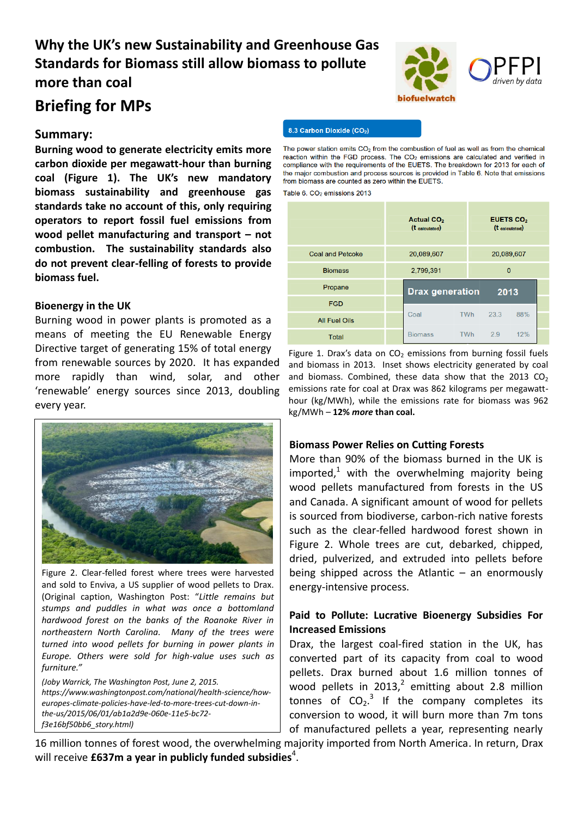# **Why the UK's new Sustainability and Greenhouse Gas Standards for Biomass still allow biomass to pollute more than coal**

# **Briefing for MPs**

### **Summary:**

**Burning wood to generate electricity emits more carbon dioxide per megawatt-hour than burning coal (Figure 1). The UK's new mandatory biomass sustainability and greenhouse gas standards take no account of this, only requiring operators to report fossil fuel emissions from wood pellet manufacturing and transport – not combustion. The sustainability standards also do not prevent clear-felling of forests to provide biomass fuel.** 

#### **Bioenergy in the UK**

Burning wood in power plants is promoted as a means of meeting the EU Renewable Energy Directive target of generating 15% of total energy from renewable sources by 2020. It has expanded more rapidly than wind, solar, and other 'renewable' energy sources since 2013, doubling every year.



Figure 2. Clear-felled forest where trees were harvested and sold to Enviva, a US supplier of wood pellets to Drax. (Original caption, Washington Post: "*Little remains but stumps and puddles in what was once a bottomland hardwood forest on the banks of the Roanoke River in northeastern North Carolina. Many of the trees were turned into wood pellets for burning in power plants in Europe. Others were sold for high-value uses such as furniture."* 

*(Joby Warrick, The Washington Post, June 2, 2015. https://www.washingtonpost.com/national/health-science/howeuropes-climate-policies-have-led-to-more-trees-cut-down-inthe-us/2015/06/01/ab1a2d9e-060e-11e5-bc72 f3e16bf50bb6\_story.html)*



#### 8.3 Carbon Dioxide (CO2)

The power station emits  $CO<sub>2</sub>$  from the combustion of fuel as well as from the chemical reaction within the FGD process. The CO<sub>2</sub> emissions are calculated and verified in compliance with the requirements of the EUETS. The breakdown for 2013 for each of the major combustion and process sources is provided in Table 6. Note that emissions from biomass are counted as zero within the EUETS

Table 6. CO<sub>2</sub> emissions 2013

|                         |            | <b>Actual CO<sub>2</sub></b><br><b>EUETS CO2</b><br>(t calculated)<br>$(t$ calculated) |            |                |     |  |
|-------------------------|------------|----------------------------------------------------------------------------------------|------------|----------------|-----|--|
| <b>Coal and Petcoke</b> | 20,089,607 |                                                                                        |            | 20,089,607     |     |  |
| <b>Biomass</b>          | 2,799,391  |                                                                                        |            | $\overline{0}$ |     |  |
| Propane                 |            | <b>Drax generation</b>                                                                 |            | 2013           |     |  |
| <b>FGD</b>              |            |                                                                                        |            |                |     |  |
| <b>All Fuel Oils</b>    |            | Coal                                                                                   | <b>TWh</b> | 23.3           | 88% |  |
| <b>Total</b>            |            | <b>Biomass</b>                                                                         | TWh        | 2.9            | 12% |  |

Figure 1. Drax's data on  $CO<sub>2</sub>$  emissions from burning fossil fuels and biomass in 2013. Inset shows electricity generated by coal and biomass. Combined, these data show that the 2013  $CO<sub>2</sub>$ emissions rate for coal at Drax was 862 kilograms per megawatthour (kg/MWh), while the emissions rate for biomass was 962 kg/MWh – **12%** *more* **than coal.**

#### **Biomass Power Relies on Cutting Forests**

More than 90% of the biomass burned in the UK is imported.<sup>1</sup> with the overwhelming majority being wood pellets manufactured from forests in the US and Canada. A significant amount of wood for pellets is sourced from biodiverse, carbon-rich native forests such as the clear-felled hardwood forest shown in Figure 2. Whole trees are cut, debarked, chipped, dried, pulverized, and extruded into pellets before being shipped across the Atlantic  $-$  an enormously energy-intensive process.

#### **Paid to Pollute: Lucrative Bioenergy Subsidies For Increased Emissions**

Drax, the largest coal-fired station in the UK, has converted part of its capacity from coal to wood pellets. Drax burned about 1.6 million tonnes of wood pellets in 2013,<sup>2</sup> emitting about 2.8 million tonnes of  $CO<sub>2</sub>$ .<sup>3</sup> If the company completes its conversion to wood, it will burn more than 7m tons of manufactured pellets a year, representing nearly

16 million tonnes of forest wood, the overwhelming majority imported from North America. In return, Drax will receive £637m a year in publicly funded subsidies<sup>4</sup>.